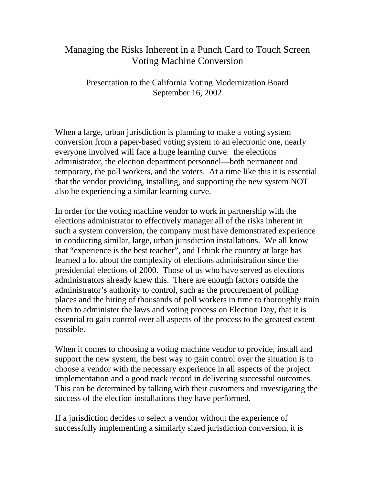## Managing the Risks Inherent in a Punch Card to Touch Screen Voting Machine Conversion

Presentation to the California Voting Modernization Board September 16, 2002

When a large, urban jurisdiction is planning to make a voting system conversion from a paper-based voting system to an electronic one, nearly everyone involved will face a huge learning curve: the elections administrator, the election department personnel—both permanent and temporary, the poll workers, and the voters. At a time like this it is essential that the vendor providing, installing, and supporting the new system NOT also be experiencing a similar learning curve.

In order for the voting machine vendor to work in partnership with the elections administrator to effectively manager all of the risks inherent in such a system conversion, the company must have demonstrated experience in conducting similar, large, urban jurisdiction installations. We all know that "experience is the best teacher", and I think the country at large has learned a lot about the complexity of elections administration since the presidential elections of 2000. Those of us who have served as elections administrators already knew this. There are enough factors outside the administrator's authority to control, such as the procurement of polling places and the hiring of thousands of poll workers in time to thoroughly train them to administer the laws and voting process on Election Day, that it is essential to gain control over all aspects of the process to the greatest extent possible.

When it comes to choosing a voting machine vendor to provide, install and support the new system, the best way to gain control over the situation is to choose a vendor with the necessary experience in all aspects of the project implementation and a good track record in delivering successful outcomes. This can be determined by talking with their customers and investigating the success of the election installations they have performed.

If a jurisdiction decides to select a vendor without the experience of successfully implementing a similarly sized jurisdiction conversion, it is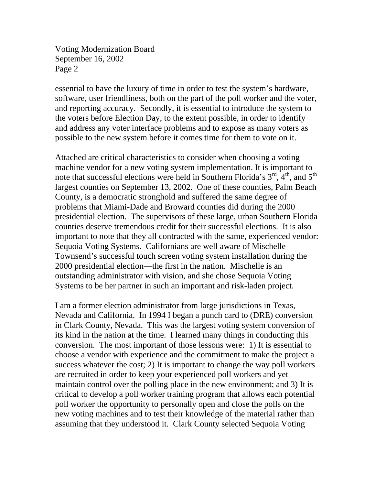Voting Modernization Board September 16, 2002 Page 2

essential to have the luxury of time in order to test the system's hardware, software, user friendliness, both on the part of the poll worker and the voter, and reporting accuracy. Secondly, it is essential to introduce the system to the voters before Election Day, to the extent possible, in order to identify and address any voter interface problems and to expose as many voters as possible to the new system before it comes time for them to vote on it.

Attached are critical characteristics to consider when choosing a voting machine vendor for a new voting system implementation. It is important to note that successful elections were held in Southern Florida's  $3^{rd}$ ,  $4^{th}$ , and  $5^{th}$ largest counties on September 13, 2002. One of these counties, Palm Beach County, is a democratic stronghold and suffered the same degree of problems that Miami-Dade and Broward counties did during the 2000 presidential election. The supervisors of these large, urban Southern Florida counties deserve tremendous credit for their successful elections. It is also important to note that they all contracted with the same, experienced vendor: Sequoia Voting Systems. Californians are well aware of Mischelle Townsend's successful touch screen voting system installation during the 2000 presidential election—the first in the nation. Mischelle is an outstanding administrator with vision, and she chose Sequoia Voting Systems to be her partner in such an important and risk-laden project.

I am a former election administrator from large jurisdictions in Texas, Nevada and California. In 1994 I began a punch card to (DRE) conversion in Clark County, Nevada. This was the largest voting system conversion of its kind in the nation at the time. I learned many things in conducting this conversion. The most important of those lessons were: 1) It is essential to choose a vendor with experience and the commitment to make the project a success whatever the cost; 2) It is important to change the way poll workers are recruited in order to keep your experienced poll workers and yet maintain control over the polling place in the new environment; and 3) It is critical to develop a poll worker training program that allows each potential poll worker the opportunity to personally open and close the polls on the new voting machines and to test their knowledge of the material rather than assuming that they understood it. Clark County selected Sequoia Voting